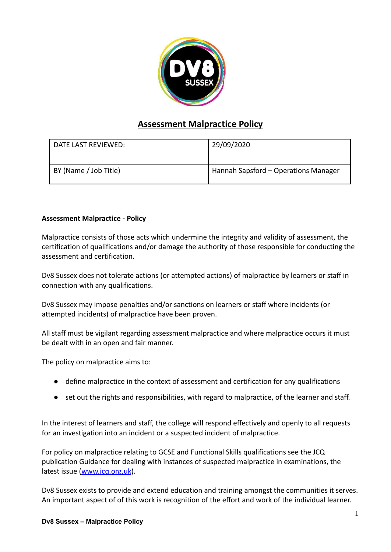

# **Assessment Malpractice Policy**

| DATE LAST REVIEWED:   | 29/09/2020                           |
|-----------------------|--------------------------------------|
| BY (Name / Job Title) | Hannah Sapsford - Operations Manager |

## **Assessment Malpractice - Policy**

Malpractice consists of those acts which undermine the integrity and validity of assessment, the certification of qualifications and/or damage the authority of those responsible for conducting the assessment and certification.

Dv8 Sussex does not tolerate actions (or attempted actions) of malpractice by learners or staff in connection with any qualifications.

Dv8 Sussex may impose penalties and/or sanctions on learners or staff where incidents (or attempted incidents) of malpractice have been proven.

All staff must be vigilant regarding assessment malpractice and where malpractice occurs it must be dealt with in an open and fair manner.

The policy on malpractice aims to:

- define malpractice in the context of assessment and certification for any qualifications
- set out the rights and responsibilities, with regard to malpractice, of the learner and staff.

In the interest of learners and staff, the college will respond effectively and openly to all requests for an investigation into an incident or a suspected incident of malpractice.

For policy on malpractice relating to GCSE and Functional Skills qualifications see the JCQ publication Guidance for dealing with instances of suspected malpractice in examinations, the latest issue [\(www.jcq.org.uk](http://www.jcq.org.uk)).

Dv8 Sussex exists to provide and extend education and training amongst the communities it serves. An important aspect of of this work is recognition of the effort and work of the individual learner.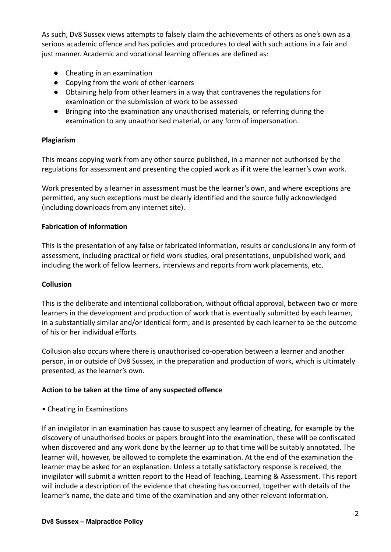As such, Dv8 Sussex views attempts to falsely claim the achievements of others as one's own as a serious academic offence and has policies and procedures to deal with such actions in a fair and just manner. Academic and vocational learning offences are defined as:

- Cheating in an examination
- Copying from the work of other learners
- Obtaining help from other learners in a way that contravenes the regulations for examination or the submission of work to be assessed
- Bringing into the examination any unauthorised materials, or referring during the examination to any unauthorised material, or any form of impersonation.

# **Plagiarism**

This means copying work from any other source published, in a manner not authorised by the regulations for assessment and presenting the copied work as if it were the learner's own work.

Work presented by a learner in assessment must be the learner's own, and where exceptions are permitted, any such exceptions must be clearly identified and the source fully acknowledged (including downloads from any internet site).

## **Fabrication of information**

This is the presentation of any false or fabricated information, results or conclusions in any form of assessment, including practical or field work studies, oral presentations, unpublished work, and including the work of fellow learners, interviews and reports from work placements, etc.

## **Collusion**

This is the deliberate and intentional collaboration, without official approval, between two or more learners in the development and production of work that is eventually submitted by each learner, in a substantially similar and/or identical form; and is presented by each learner to be the outcome of his or her individual efforts.

Collusion also occurs where there is unauthorised co-operation between a learner and another person, in or outside of Dv8 Sussex, in the preparation and production of work, which is ultimately presented, as the learner's own.

## **Action to be taken at the time of any suspected offence**

• Cheating in Examinations

If an invigilator in an examination has cause to suspect any learner of cheating, for example by the discovery of unauthorised books or papers brought into the examination, these will be confiscated when discovered and any work done by the learner up to that time will be suitably annotated. The learner will, however, be allowed to complete the examination. At the end of the examination the learner may be asked for an explanation. Unless a totally satisfactory response is received, the invigilator will submit a written report to the Head of Teaching, Learning & Assessment. This report will include a description of the evidence that cheating has occurred, together with details of the learner's name, the date and time of the examination and any other relevant information.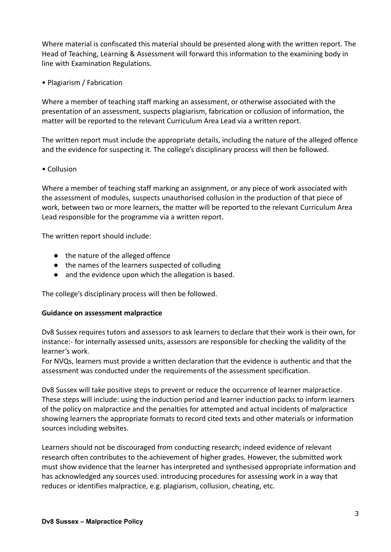Where material is confiscated this material should be presented along with the written report. The Head of Teaching, Learning & Assessment will forward this information to the examining body in line with Examination Regulations.

• Plagiarism / Fabrication

Where a member of teaching staff marking an assessment, or otherwise associated with the presentation of an assessment, suspects plagiarism, fabrication or collusion of information, the matter will be reported to the relevant Curriculum Area Lead via a written report.

The written report must include the appropriate details, including the nature of the alleged offence and the evidence for suspecting it. The college's disciplinary process will then be followed.

#### • Collusion

Where a member of teaching staff marking an assignment, or any piece of work associated with the assessment of modules, suspects unauthorised collusion in the production of that piece of work, between two or more learners, the matter will be reported to the relevant Curriculum Area Lead responsible for the programme via a written report.

The written report should include:

- the nature of the alleged offence
- the names of the learners suspected of colluding
- and the evidence upon which the allegation is based.

The college's disciplinary process will then be followed.

#### **Guidance on assessment malpractice**

Dv8 Sussex requires tutors and assessors to ask learners to declare that their work is their own, for instance:- for internally assessed units, assessors are responsible for checking the validity of the learner's work.

For NVQs, learners must provide a written declaration that the evidence is authentic and that the assessment was conducted under the requirements of the assessment specification.

Dv8 Sussex will take positive steps to prevent or reduce the occurrence of learner malpractice. These steps will include: using the induction period and learner induction packs to inform learners of the policy on malpractice and the penalties for attempted and actual incidents of malpractice showing learners the appropriate formats to record cited texts and other materials or information sources including websites.

Learners should not be discouraged from conducting research; indeed evidence of relevant research often contributes to the achievement of higher grades. However, the submitted work must show evidence that the learner has interpreted and synthesised appropriate information and has acknowledged any sources used. introducing procedures for assessing work in a way that reduces or identifies malpractice, e.g. plagiarism, collusion, cheating, etc.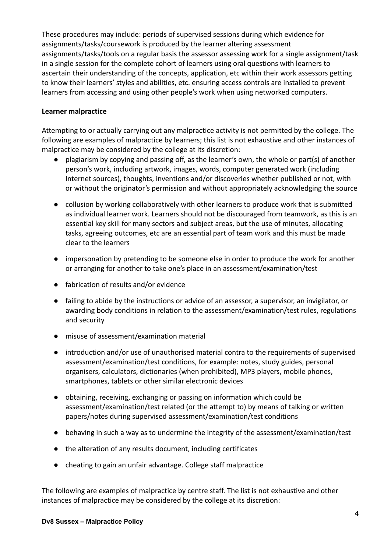These procedures may include: periods of supervised sessions during which evidence for assignments/tasks/coursework is produced by the learner altering assessment assignments/tasks/tools on a regular basis the assessor assessing work for a single assignment/task in a single session for the complete cohort of learners using oral questions with learners to ascertain their understanding of the concepts, application, etc within their work assessors getting to know their learners' styles and abilities, etc. ensuring access controls are installed to prevent learners from accessing and using other people's work when using networked computers.

#### **Learner malpractice**

Attempting to or actually carrying out any malpractice activity is not permitted by the college. The following are examples of malpractice by learners; this list is not exhaustive and other instances of malpractice may be considered by the college at its discretion:

- plagiarism by copying and passing off, as the learner's own, the whole or part(s) of another person's work, including artwork, images, words, computer generated work (including Internet sources), thoughts, inventions and/or discoveries whether published or not, with or without the originator's permission and without appropriately acknowledging the source
- collusion by working collaboratively with other learners to produce work that is submitted as individual learner work. Learners should not be discouraged from teamwork, as this is an essential key skill for many sectors and subject areas, but the use of minutes, allocating tasks, agreeing outcomes, etc are an essential part of team work and this must be made clear to the learners
- impersonation by pretending to be someone else in order to produce the work for another or arranging for another to take one's place in an assessment/examination/test
- fabrication of results and/or evidence
- failing to abide by the instructions or advice of an assessor, a supervisor, an invigilator, or awarding body conditions in relation to the assessment/examination/test rules, regulations and security
- misuse of assessment/examination material
- introduction and/or use of unauthorised material contra to the requirements of supervised assessment/examination/test conditions, for example: notes, study guides, personal organisers, calculators, dictionaries (when prohibited), MP3 players, mobile phones, smartphones, tablets or other similar electronic devices
- obtaining, receiving, exchanging or passing on information which could be assessment/examination/test related (or the attempt to) by means of talking or written papers/notes during supervised assessment/examination/test conditions
- behaving in such a way as to undermine the integrity of the assessment/examination/test
- the alteration of any results document, including certificates
- cheating to gain an unfair advantage. College staff malpractice

The following are examples of malpractice by centre staff. The list is not exhaustive and other instances of malpractice may be considered by the college at its discretion: